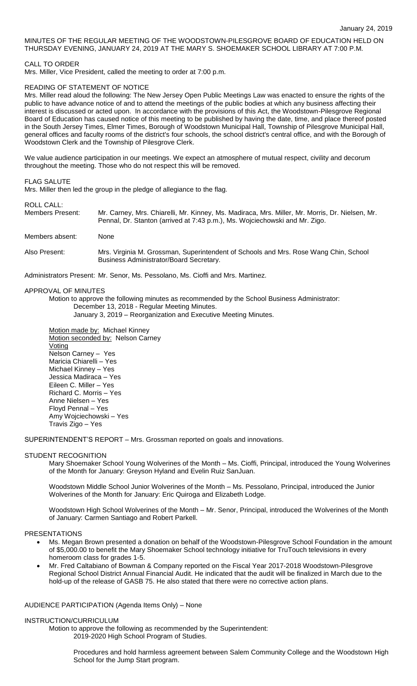# MINUTES OF THE REGULAR MEETING OF THE WOODSTOWN-PILESGROVE BOARD OF EDUCATION HELD ON THURSDAY EVENING, JANUARY 24, 2019 AT THE MARY S. SHOEMAKER SCHOOL LIBRARY AT 7:00 P.M.

CALL TO ORDER

Mrs. Miller, Vice President, called the meeting to order at 7:00 p.m.

### READING OF STATEMENT OF NOTICE

Mrs. Miller read aloud the following: The New Jersey Open Public Meetings Law was enacted to ensure the rights of the public to have advance notice of and to attend the meetings of the public bodies at which any business affecting their interest is discussed or acted upon. In accordance with the provisions of this Act, the Woodstown-Pilesgrove Regional Board of Education has caused notice of this meeting to be published by having the date, time, and place thereof posted in the South Jersey Times, Elmer Times, Borough of Woodstown Municipal Hall, Township of Pilesgrove Municipal Hall, general offices and faculty rooms of the district's four schools, the school district's central office, and with the Borough of Woodstown Clerk and the Township of Pilesgrove Clerk.

We value audience participation in our meetings. We expect an atmosphere of mutual respect, civility and decorum throughout the meeting. Those who do not respect this will be removed.

### FLAG SALUTE

Mrs. Miller then led the group in the pledge of allegiance to the flag.

#### ROLL CALL:

| Members Present: | Mr. Carney, Mrs. Chiarelli, Mr. Kinney, Ms. Madiraca, Mrs. Miller, Mr. Morris, Dr. Nielsen, Mr.<br>Pennal, Dr. Stanton (arrived at 7:43 p.m.), Ms. Wojciechowski and Mr. Zigo. |
|------------------|--------------------------------------------------------------------------------------------------------------------------------------------------------------------------------|
| Members absent:  | None                                                                                                                                                                           |

Also Present: Mrs. Virginia M. Grossman, Superintendent of Schools and Mrs. Rose Wang Chin, School Business Administrator/Board Secretary.

Administrators Present: Mr. Senor, Ms. Pessolano, Ms. Cioffi and Mrs. Martinez.

# APPROVAL OF MINUTES

Motion to approve the following minutes as recommended by the School Business Administrator: December 13, 2018 - Regular Meeting Minutes.

January 3, 2019 – Reorganization and Executive Meeting Minutes.

Motion made by: Michael Kinney Motion seconded by: Nelson Carney Voting Nelson Carney – Yes Maricia Chiarelli – Yes Michael Kinney – Yes Jessica Madiraca – Yes Eileen C. Miller – Yes Richard C. Morris – Yes Anne Nielsen – Yes Floyd Pennal – Yes Amy Wojciechowski – Yes Travis Zigo – Yes

SUPERINTENDENT'S REPORT – Mrs. Grossman reported on goals and innovations.

### STUDENT RECOGNITION

Mary Shoemaker School Young Wolverines of the Month – Ms. Cioffi, Principal, introduced the Young Wolverines of the Month for January: Greyson Hyland and Evelin Ruiz SanJuan.

Woodstown Middle School Junior Wolverines of the Month – Ms. Pessolano, Principal, introduced the Junior Wolverines of the Month for January: Eric Quiroga and Elizabeth Lodge.

Woodstown High School Wolverines of the Month – Mr. Senor, Principal, introduced the Wolverines of the Month of January: Carmen Santiago and Robert Parkell.

### PRESENTATIONS

- Ms. Megan Brown presented a donation on behalf of the Woodstown-Pilesgrove School Foundation in the amount of \$5,000.00 to benefit the Mary Shoemaker School technology initiative for TruTouch televisions in every homeroom class for grades 1-5.
- Mr. Fred Caltabiano of Bowman & Company reported on the Fiscal Year 2017-2018 Woodstown-Pilesgrove Regional School District Annual Financial Audit. He indicated that the audit will be finalized in March due to the hold-up of the release of GASB 75. He also stated that there were no corrective action plans.

#### AUDIENCE PARTICIPATION (Agenda Items Only) – None

#### INSTRUCTION/CURRICULUM

Motion to approve the following as recommended by the Superintendent: 2019-2020 High School Program of Studies.

> Procedures and hold harmless agreement between Salem Community College and the Woodstown High School for the Jump Start program.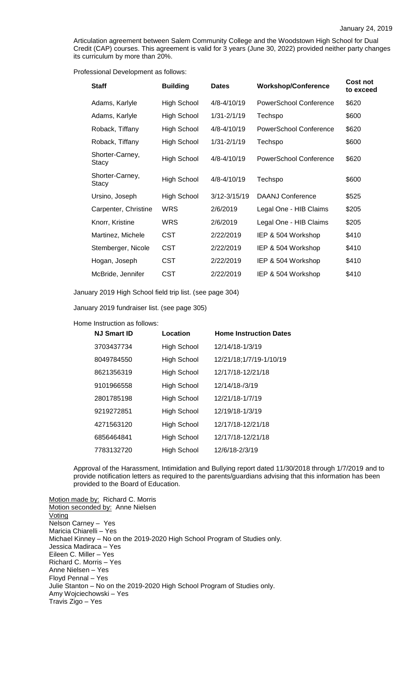Articulation agreement between Salem Community College and the Woodstown High School for Dual Credit (CAP) courses. This agreement is valid for 3 years (June 30, 2022) provided neither party changes its curriculum by more than 20%.

Professional Development as follows:

| <b>Staff</b>             | <b>Building</b>    | <b>Dates</b>    | <b>Workshop/Conference</b>    | Cost not<br>to exceed |
|--------------------------|--------------------|-----------------|-------------------------------|-----------------------|
| Adams, Karlyle           | High School        | 4/8-4/10/19     | <b>PowerSchool Conference</b> | \$620                 |
| Adams, Karlyle           | High School        | $1/31 - 2/1/19$ | Techspo                       | \$600                 |
| Roback, Tiffany          | High School        | 4/8-4/10/19     | PowerSchool Conference        | \$620                 |
| Roback, Tiffany          | High School        | $1/31 - 2/1/19$ | Techspo                       | \$600                 |
| Shorter-Carney,<br>Stacy | High School        | 4/8-4/10/19     | PowerSchool Conference        | \$620                 |
| Shorter-Carney,<br>Stacy | High School        | 4/8-4/10/19     | Techspo                       | \$600                 |
| Ursino, Joseph           | <b>High School</b> | 3/12-3/15/19    | <b>DAANJ Conference</b>       | \$525                 |
| Carpenter, Christine     | <b>WRS</b>         | 2/6/2019        | Legal One - HIB Claims        | \$205                 |
| Knorr, Kristine          | <b>WRS</b>         | 2/6/2019        | Legal One - HIB Claims        | \$205                 |
| Martinez, Michele        | CST                | 2/22/2019       | IEP & 504 Workshop            | \$410                 |
| Stemberger, Nicole       | <b>CST</b>         | 2/22/2019       | IEP & 504 Workshop            | \$410                 |
| Hogan, Joseph            | <b>CST</b>         | 2/22/2019       | IEP & 504 Workshop            | \$410                 |
| McBride, Jennifer        | <b>CST</b>         | 2/22/2019       | IEP & 504 Workshop            | \$410                 |

January 2019 High School field trip list. (see page 304)

January 2019 fundraiser list. (see page 305)

Home Instruction as follows:

| <b>NJ Smart ID</b> | Location           | <b>Home Instruction Dates</b> |
|--------------------|--------------------|-------------------------------|
| 3703437734         | High School        | 12/14/18-1/3/19               |
| 8049784550         | High School        | 12/21/18;1/7/19-1/10/19       |
| 8621356319         | <b>High School</b> | 12/17/18-12/21/18             |
| 9101966558         | High School        | 12/14/18-/3/19                |
| 2801785198         | High School        | 12/21/18-1/7/19               |
| 9219272851         | <b>High School</b> | 12/19/18-1/3/19               |
| 4271563120         | High School        | 12/17/18-12/21/18             |
| 6856464841         | High School        | 12/17/18-12/21/18             |
| 7783132720         | High School        | 12/6/18-2/3/19                |

Approval of the Harassment, Intimidation and Bullying report dated 11/30/2018 through 1/7/2019 and to provide notification letters as required to the parents/guardians advising that this information has been provided to the Board of Education.

Motion made by: Richard C. Morris Motion seconded by: Anne Nielsen **Voting** Nelson Carney – Yes Maricia Chiarelli – Yes Michael Kinney – No on the 2019-2020 High School Program of Studies only. Jessica Madiraca – Yes Eileen C. Miller – Yes Richard C. Morris – Yes Anne Nielsen – Yes Floyd Pennal – Yes Julie Stanton – No on the 2019-2020 High School Program of Studies only. Amy Wojciechowski – Yes Travis Zigo – Yes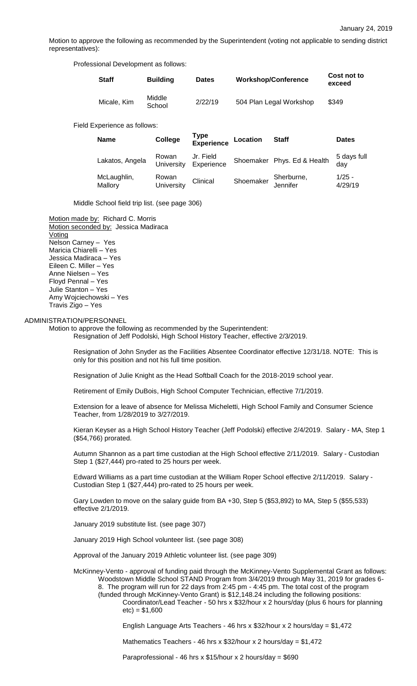Motion to approve the following as recommended by the Superintendent (voting not applicable to sending district representatives):

Professional Development as follows:

| <b>Staff</b> | <b>Building</b>  | <b>Dates</b> | <b>Workshop/Conference</b> | Cost not to<br>exceed |
|--------------|------------------|--------------|----------------------------|-----------------------|
| Micale, Kim  | Middle<br>School | 2/22/19      | 504 Plan Legal Workshop    | \$349                 |

Field Experience as follows:

| <b>Name</b>            | College             | <b>Type<br/>Experience</b> | Location  | <b>Staff</b>                | <b>Dates</b>        |
|------------------------|---------------------|----------------------------|-----------|-----------------------------|---------------------|
| Lakatos, Angela        | Rowan<br>University | Jr. Field<br>Experience    |           | Shoemaker Phys. Ed & Health | 5 days full<br>day  |
| McLaughlin,<br>Mallory | Rowan<br>University | Clinical                   | Shoemaker | Sherburne,<br>Jennifer      | $1/25 -$<br>4/29/19 |

Middle School field trip list. (see page 306)

Motion made by: Richard C. Morris Motion seconded by: Jessica Madiraca **Voting** Nelson Carney – Yes Maricia Chiarelli – Yes Jessica Madiraca – Yes Eileen C. Miller – Yes Anne Nielsen – Yes Floyd Pennal – Yes Julie Stanton – Yes Amy Wojciechowski – Yes Travis Zigo – Yes

### ADMINISTRATION/PERSONNEL

Motion to approve the following as recommended by the Superintendent:

Resignation of Jeff Podolski, High School History Teacher, effective 2/3/2019.

Resignation of John Snyder as the Facilities Absentee Coordinator effective 12/31/18. NOTE: This is only for this position and not his full time position.

Resignation of Julie Knight as the Head Softball Coach for the 2018-2019 school year.

Retirement of Emily DuBois, High School Computer Technician, effective 7/1/2019.

Extension for a leave of absence for Melissa Micheletti, High School Family and Consumer Science Teacher, from 1/28/2019 to 3/27/2019.

Kieran Keyser as a High School History Teacher (Jeff Podolski) effective 2/4/2019. Salary - MA, Step 1 (\$54,766) prorated.

Autumn Shannon as a part time custodian at the High School effective 2/11/2019. Salary - Custodian Step 1 (\$27,444) pro-rated to 25 hours per week.

Edward Williams as a part time custodian at the William Roper School effective 2/11/2019. Salary - Custodian Step 1 (\$27,444) pro-rated to 25 hours per week.

Gary Lowden to move on the salary guide from BA +30, Step 5 (\$53,892) to MA, Step 5 (\$55,533) effective 2/1/2019.

January 2019 substitute list. (see page 307)

January 2019 High School volunteer list. (see page 308)

Approval of the January 2019 Athletic volunteer list. (see page 309)

McKinney-Vento - approval of funding paid through the McKinney-Vento Supplemental Grant as follows: Woodstown Middle School STAND Program from 3/4/2019 through May 31, 2019 for grades 6- 8. The program will run for 22 days from 2:45 pm - 4:45 pm. The total cost of the program (funded through McKinney-Vento Grant) is \$12,148.24 including the following positions: Coordinator/Lead Teacher - 50 hrs x \$32/hour x 2 hours/day (plus 6 hours for planning  $etc) = $1,600$ 

English Language Arts Teachers - 46 hrs x \$32/hour x 2 hours/day = \$1,472

Mathematics Teachers - 46 hrs x \$32/hour x 2 hours/day = \$1,472

Paraprofessional - 46 hrs x  $$15/h$ our x 2 hours/day =  $$690$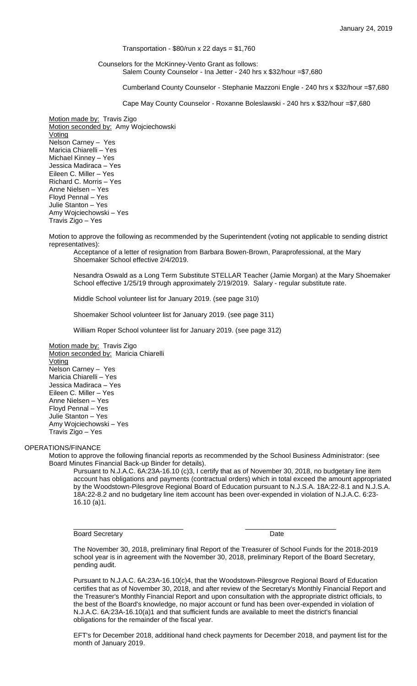# Transportation -  $$80/run \times 22 \text{ days} = $1,760$

### Counselors for the McKinney-Vento Grant as follows: Salem County Counselor - Ina Jetter - 240 hrs x \$32/hour =\$7,680

Cumberland County Counselor - Stephanie Mazzoni Engle - 240 hrs x \$32/hour =\$7,680

Cape May County Counselor - Roxanne Boleslawski - 240 hrs x \$32/hour =\$7,680

Motion made by: Travis Zigo Motion seconded by: Amy Wojciechowski **Voting** Nelson Carney – Yes Maricia Chiarelli – Yes Michael Kinney – Yes Jessica Madiraca – Yes Eileen C. Miller – Yes Richard C. Morris – Yes Anne Nielsen – Yes Floyd Pennal – Yes Julie Stanton – Yes Amy Wojciechowski – Yes Travis Zigo – Yes

Motion to approve the following as recommended by the Superintendent (voting not applicable to sending district representatives):

Acceptance of a letter of resignation from Barbara Bowen-Brown, Paraprofessional, at the Mary Shoemaker School effective 2/4/2019.

Nesandra Oswald as a Long Term Substitute STELLAR Teacher (Jamie Morgan) at the Mary Shoemaker School effective 1/25/19 through approximately 2/19/2019. Salary - regular substitute rate.

Middle School volunteer list for January 2019. (see page 310)

Shoemaker School volunteer list for January 2019. (see page 311)

William Roper School volunteer list for January 2019. (see page 312)

Motion made by: Travis Zigo Motion seconded by: Maricia Chiarelli Voting Nelson Carney – Yes Maricia Chiarelli – Yes Jessica Madiraca – Yes Eileen C. Miller – Yes Anne Nielsen – Yes Floyd Pennal – Yes Julie Stanton – Yes Amy Wojciechowski – Yes Travis Zigo – Yes

#### OPERATIONS/FINANCE

Motion to approve the following financial reports as recommended by the School Business Administrator: (see Board Minutes Financial Back-up Binder for details).

\_\_\_\_\_\_\_\_\_\_\_\_\_\_\_\_\_\_\_\_\_\_\_\_\_\_\_\_\_ \_\_\_\_\_\_\_\_\_\_\_\_\_\_\_\_\_\_\_\_\_\_\_\_

Pursuant to N.J.A.C. 6A:23A-16.10 (c)3, I certify that as of November 30, 2018, no budgetary line item account has obligations and payments (contractual orders) which in total exceed the amount appropriated by the Woodstown-Pilesgrove Regional Board of Education pursuant to N.J.S.A. 18A:22-8.1 and N.J.S.A. 18A:22-8.2 and no budgetary line item account has been over-expended in violation of N.J.A.C. 6:23- 16.10 (a)1.

Board Secretary **Date** 

The November 30, 2018, preliminary final Report of the Treasurer of School Funds for the 2018-2019 school year is in agreement with the November 30, 2018, preliminary Report of the Board Secretary, pending audit.

Pursuant to N.J.A.C. 6A:23A-16.10(c)4, that the Woodstown-Pilesgrove Regional Board of Education certifies that as of November 30, 2018, and after review of the Secretary's Monthly Financial Report and the Treasurer's Monthly Financial Report and upon consultation with the appropriate district officials, to the best of the Board's knowledge, no major account or fund has been over-expended in violation of N.J.A.C. 6A:23A-16.10(a)1 and that sufficient funds are available to meet the district's financial obligations for the remainder of the fiscal year.

EFT's for December 2018, additional hand check payments for December 2018, and payment list for the month of January 2019.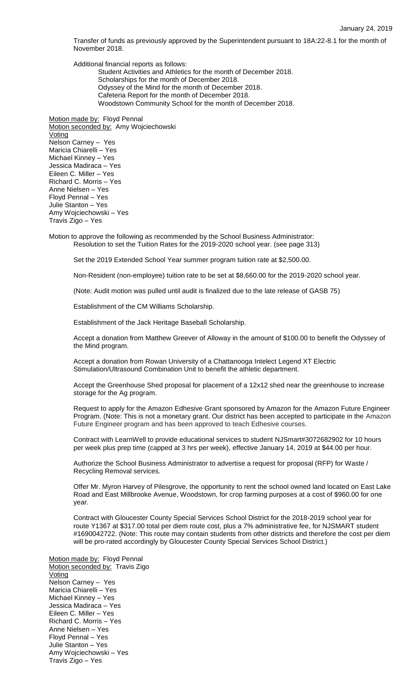Transfer of funds as previously approved by the Superintendent pursuant to 18A:22-8.1 for the month of November 2018.

Additional financial reports as follows:

Student Activities and Athletics for the month of December 2018. Scholarships for the month of December 2018. Odyssey of the Mind for the month of December 2018. Cafeteria Report for the month of December 2018. Woodstown Community School for the month of December 2018.

Motion made by: Floyd Pennal Motion seconded by: Amy Wojciechowski **Voting** Nelson Carney – Yes Maricia Chiarelli – Yes Michael Kinney – Yes Jessica Madiraca – Yes Eileen C. Miller – Yes Richard C. Morris – Yes Anne Nielsen – Yes Floyd Pennal – Yes Julie Stanton – Yes Amy Wojciechowski – Yes Travis Zigo – Yes

Motion to approve the following as recommended by the School Business Administrator: Resolution to set the Tuition Rates for the 2019-2020 school year. (see page 313)

Set the 2019 Extended School Year summer program tuition rate at \$2,500.00.

Non-Resident (non-employee) tuition rate to be set at \$8,660.00 for the 2019-2020 school year.

(Note: Audit motion was pulled until audit is finalized due to the late release of GASB 75)

Establishment of the CM Williams Scholarship.

Establishment of the Jack Heritage Baseball Scholarship.

Accept a donation from Matthew Greever of Alloway in the amount of \$100.00 to benefit the Odyssey of the Mind program.

Accept a donation from Rowan University of a Chattanooga Intelect Legend XT Electric Stimulation/Ultrasound Combination Unit to benefit the athletic department.

Accept the Greenhouse Shed proposal for placement of a 12x12 shed near the greenhouse to increase storage for the Ag program.

Request to apply for the Amazon Edhesive Grant sponsored by Amazon for the Amazon Future Engineer Program. (Note: This is not a monetary grant. Our district has been accepted to participate in the Amazon Future Engineer program and has been approved to teach Edhesive courses.

Contract with LearnWell to provide educational services to student NJSmart#3072682902 for 10 hours per week plus prep time (capped at 3 hrs per week), effective January 14, 2019 at \$44.00 per hour.

Authorize the School Business Administrator to advertise a request for proposal (RFP) for Waste / Recycling Removal services.

Offer Mr. Myron Harvey of Pilesgrove, the opportunity to rent the school owned land located on East Lake Road and East Millbrooke Avenue, Woodstown, for crop farming purposes at a cost of \$960.00 for one year.

Contract with Gloucester County Special Services School District for the 2018-2019 school year for route Y1367 at \$317.00 total per diem route cost, plus a 7% administrative fee, for NJSMART student #1690042722. (Note: This route may contain students from other districts and therefore the cost per diem will be pro-rated accordingly by Gloucester County Special Services School District.)

Motion made by: Floyd Pennal Motion seconded by: Travis Zigo Voting Nelson Carney – Yes Maricia Chiarelli – Yes Michael Kinney – Yes Jessica Madiraca – Yes Eileen C. Miller – Yes Richard C. Morris – Yes Anne Nielsen – Yes Floyd Pennal – Yes Julie Stanton – Yes Amy Wojciechowski – Yes Travis Zigo – Yes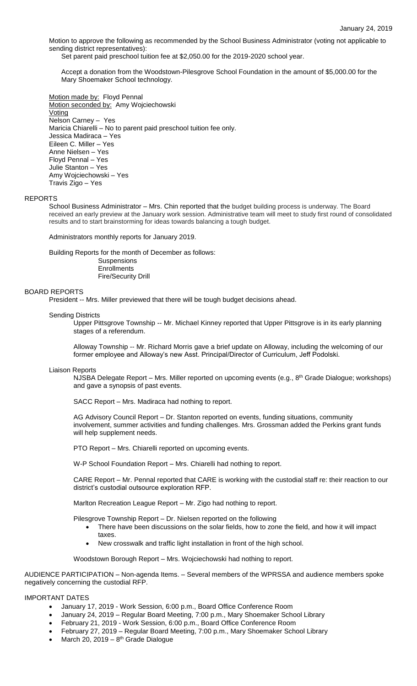Motion to approve the following as recommended by the School Business Administrator (voting not applicable to sending district representatives):

Set parent paid preschool tuition fee at \$2,050.00 for the 2019-2020 school year.

Accept a donation from the Woodstown-Pilesgrove School Foundation in the amount of \$5,000.00 for the Mary Shoemaker School technology.

Motion made by: Floyd Pennal Motion seconded by: Amy Wojciechowski Voting Nelson Carney – Yes Maricia Chiarelli – No to parent paid preschool tuition fee only. Jessica Madiraca – Yes Eileen C. Miller – Yes Anne Nielsen – Yes Floyd Pennal – Yes Julie Stanton – Yes Amy Wojciechowski – Yes Travis Zigo – Yes

### REPORTS

School Business Administrator – Mrs. Chin reported that the budget building process is underway. The Board received an early preview at the January work session. Administrative team will meet to study first round of consolidated results and to start brainstorming for ideas towards balancing a tough budget.

Administrators monthly reports for January 2019.

Building Reports for the month of December as follows: Suspensions **Enrollments** Fire/Security Drill

## BOARD REPORTS

President -- Mrs. Miller previewed that there will be tough budget decisions ahead.

### Sending Districts

Upper Pittsgrove Township -- Mr. Michael Kinney reported that Upper Pittsgrove is in its early planning stages of a referendum.

Alloway Township -- Mr. Richard Morris gave a brief update on Alloway, including the welcoming of our former employee and Alloway's new Asst. Principal/Director of Curriculum, Jeff Podolski.

# Liaison Reports

NJSBA Delegate Report - Mrs. Miller reported on upcoming events (e.g., 8<sup>th</sup> Grade Dialogue; workshops) and gave a synopsis of past events.

SACC Report – Mrs. Madiraca had nothing to report.

AG Advisory Council Report – Dr. Stanton reported on events, funding situations, community involvement, summer activities and funding challenges. Mrs. Grossman added the Perkins grant funds will help supplement needs.

PTO Report – Mrs. Chiarelli reported on upcoming events.

W-P School Foundation Report – Mrs. Chiarelli had nothing to report.

CARE Report – Mr. Pennal reported that CARE is working with the custodial staff re: their reaction to our district's custodial outsource exploration RFP.

Marlton Recreation League Report – Mr. Zigo had nothing to report.

Pilesgrove Township Report – Dr. Nielsen reported on the following

- There have been discussions on the solar fields, how to zone the field, and how it will impact taxes.
- New crosswalk and traffic light installation in front of the high school.

Woodstown Borough Report – Mrs. Wojciechowski had nothing to report.

AUDIENCE PARTICIPATION – Non-agenda Items. – Several members of the WPRSSA and audience members spoke negatively concerning the custodial RFP.

#### IMPORTANT DATES

- January 17, 2019 Work Session, 6:00 p.m., Board Office Conference Room
- January 24, 2019 Regular Board Meeting, 7:00 p.m., Mary Shoemaker School Library
- February 21, 2019 Work Session, 6:00 p.m., Board Office Conference Room
- February 27, 2019 Regular Board Meeting, 7:00 p.m., Mary Shoemaker School Library
- March 20, 2019  $8<sup>th</sup>$  Grade Dialogue